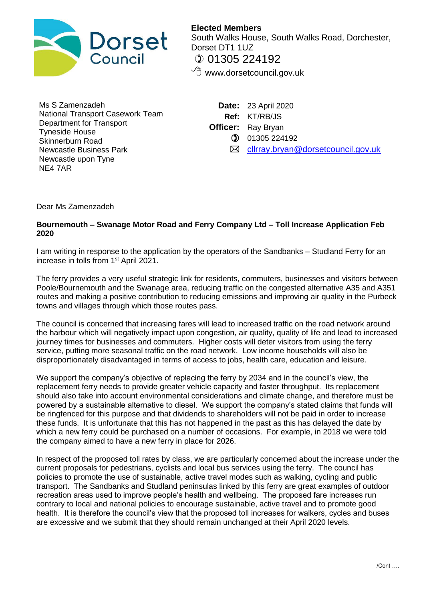

**Elected Members** South Walks House, South Walks Road, Dorchester, Dorset DT1 1UZ  $①$  01305 224192  $\sqrt{\overline{C}}$  www.dorsetcouncil.gov.uk

Ms S Zamenzadeh National Transport Casework Team Department for Transport Tyneside House Skinnerburn Road Newcastle Business Park Newcastle upon Tyne NE4 7AR

**Date:** 23 April 2020 **Ref:** KT/RB/JS **Officer:** Ray Bryan  $①$  01305 224192  $✓$  [cllrray.bryan@dorsetcouncil.gov.uk](mailto:cllrray.bryan@dorsetcouncil.gov.uk)

Dear Ms Zamenzadeh

## **Bournemouth – Swanage Motor Road and Ferry Company Ltd – Toll Increase Application Feb 2020**

I am writing in response to the application by the operators of the Sandbanks – Studland Ferry for an increase in tolls from 1<sup>st</sup> April 2021.

The ferry provides a very useful strategic link for residents, commuters, businesses and visitors between Poole/Bournemouth and the Swanage area, reducing traffic on the congested alternative A35 and A351 routes and making a positive contribution to reducing emissions and improving air quality in the Purbeck towns and villages through which those routes pass.

The council is concerned that increasing fares will lead to increased traffic on the road network around the harbour which will negatively impact upon congestion, air quality, quality of life and lead to increased journey times for businesses and commuters. Higher costs will deter visitors from using the ferry service, putting more seasonal traffic on the road network. Low income households will also be disproportionately disadvantaged in terms of access to jobs, health care, education and leisure.

We support the company's objective of replacing the ferry by 2034 and in the council's view, the replacement ferry needs to provide greater vehicle capacity and faster throughput. Its replacement should also take into account environmental considerations and climate change, and therefore must be powered by a sustainable alternative to diesel. We support the company's stated claims that funds will be ringfenced for this purpose and that dividends to shareholders will not be paid in order to increase these funds. It is unfortunate that this has not happened in the past as this has delayed the date by which a new ferry could be purchased on a number of occasions. For example, in 2018 we were told the company aimed to have a new ferry in place for 2026.

In respect of the proposed toll rates by class, we are particularly concerned about the increase under the current proposals for pedestrians, cyclists and local bus services using the ferry. The council has policies to promote the use of sustainable, active travel modes such as walking, cycling and public transport. The Sandbanks and Studland peninsulas linked by this ferry are great examples of outdoor recreation areas used to improve people's health and wellbeing. The proposed fare increases run contrary to local and national policies to encourage sustainable, active travel and to promote good health. It is therefore the council's view that the proposed toll increases for walkers, cycles and buses are excessive and we submit that they should remain unchanged at their April 2020 levels.